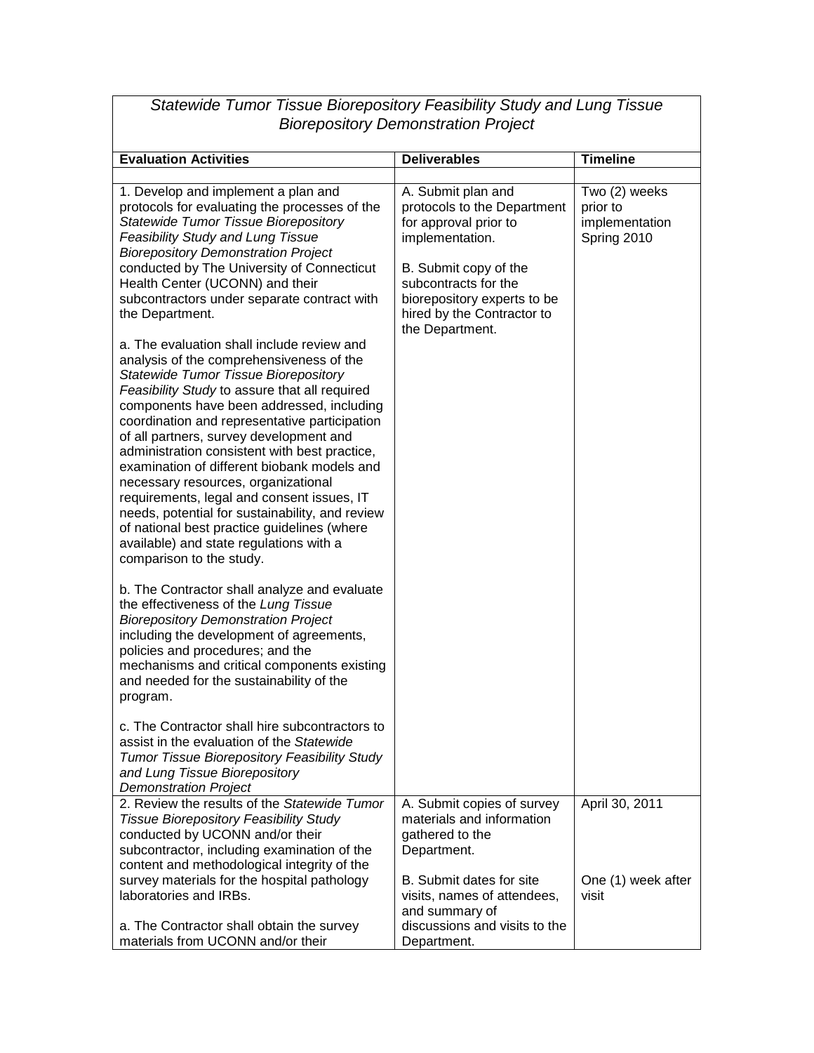| Statewide Tumor Tissue Biorepository Feasibility Study and Lung Tissue<br><b>Biorepository Demonstration Project</b>                                                                                                                                                                                                                                                                                                                                                                                                                                                                                                                                                                                                                                                                                                                                                                                                                                                                                                                                                              |                                                                                                                                                                                                                                |                                                            |  |
|-----------------------------------------------------------------------------------------------------------------------------------------------------------------------------------------------------------------------------------------------------------------------------------------------------------------------------------------------------------------------------------------------------------------------------------------------------------------------------------------------------------------------------------------------------------------------------------------------------------------------------------------------------------------------------------------------------------------------------------------------------------------------------------------------------------------------------------------------------------------------------------------------------------------------------------------------------------------------------------------------------------------------------------------------------------------------------------|--------------------------------------------------------------------------------------------------------------------------------------------------------------------------------------------------------------------------------|------------------------------------------------------------|--|
| <b>Evaluation Activities</b>                                                                                                                                                                                                                                                                                                                                                                                                                                                                                                                                                                                                                                                                                                                                                                                                                                                                                                                                                                                                                                                      | <b>Deliverables</b>                                                                                                                                                                                                            | <b>Timeline</b>                                            |  |
| 1. Develop and implement a plan and<br>protocols for evaluating the processes of the<br><b>Statewide Tumor Tissue Biorepository</b><br><b>Feasibility Study and Lung Tissue</b><br><b>Biorepository Demonstration Project</b><br>conducted by The University of Connecticut<br>Health Center (UCONN) and their<br>subcontractors under separate contract with<br>the Department.<br>a. The evaluation shall include review and<br>analysis of the comprehensiveness of the<br><b>Statewide Tumor Tissue Biorepository</b><br>Feasibility Study to assure that all required<br>components have been addressed, including<br>coordination and representative participation<br>of all partners, survey development and<br>administration consistent with best practice,<br>examination of different biobank models and<br>necessary resources, organizational<br>requirements, legal and consent issues, IT<br>needs, potential for sustainability, and review<br>of national best practice guidelines (where<br>available) and state regulations with a<br>comparison to the study. | A. Submit plan and<br>protocols to the Department<br>for approval prior to<br>implementation.<br>B. Submit copy of the<br>subcontracts for the<br>biorepository experts to be<br>hired by the Contractor to<br>the Department. | Two (2) weeks<br>prior to<br>implementation<br>Spring 2010 |  |
| b. The Contractor shall analyze and evaluate<br>the effectiveness of the Lung Tissue<br><b>Biorepository Demonstration Project</b><br>including the development of agreements,<br>policies and procedures; and the<br>mechanisms and critical components existing<br>and needed for the sustainability of the<br>program.<br>c. The Contractor shall hire subcontractors to<br>assist in the evaluation of the Statewide<br><b>Tumor Tissue Biorepository Feasibility Study</b>                                                                                                                                                                                                                                                                                                                                                                                                                                                                                                                                                                                                   |                                                                                                                                                                                                                                |                                                            |  |
| and Lung Tissue Biorepository<br><b>Demonstration Project</b><br>2. Review the results of the Statewide Tumor<br><b>Tissue Biorepository Feasibility Study</b><br>conducted by UCONN and/or their<br>subcontractor, including examination of the<br>content and methodological integrity of the                                                                                                                                                                                                                                                                                                                                                                                                                                                                                                                                                                                                                                                                                                                                                                                   | A. Submit copies of survey<br>materials and information<br>gathered to the<br>Department.<br>B. Submit dates for site                                                                                                          | April 30, 2011                                             |  |
| survey materials for the hospital pathology<br>laboratories and IRBs.<br>a. The Contractor shall obtain the survey<br>materials from UCONN and/or their                                                                                                                                                                                                                                                                                                                                                                                                                                                                                                                                                                                                                                                                                                                                                                                                                                                                                                                           | visits, names of attendees,<br>and summary of<br>discussions and visits to the<br>Department.                                                                                                                                  | One (1) week after<br>visit                                |  |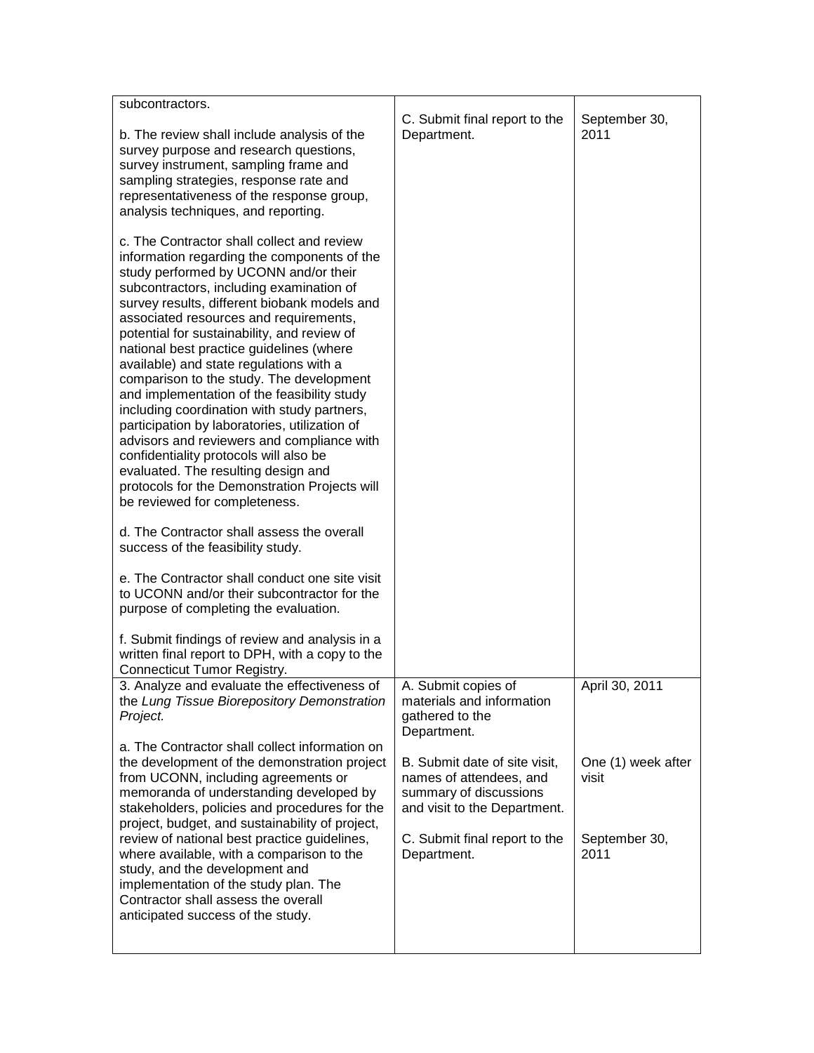| subcontractors.                                                                                   | C. Submit final report to the                | September 30,      |
|---------------------------------------------------------------------------------------------------|----------------------------------------------|--------------------|
| b. The review shall include analysis of the                                                       | Department.                                  | 2011               |
| survey purpose and research questions,<br>survey instrument, sampling frame and                   |                                              |                    |
| sampling strategies, response rate and                                                            |                                              |                    |
| representativeness of the response group,                                                         |                                              |                    |
| analysis techniques, and reporting.                                                               |                                              |                    |
| c. The Contractor shall collect and review                                                        |                                              |                    |
| information regarding the components of the<br>study performed by UCONN and/or their              |                                              |                    |
| subcontractors, including examination of                                                          |                                              |                    |
| survey results, different biobank models and<br>associated resources and requirements,            |                                              |                    |
| potential for sustainability, and review of                                                       |                                              |                    |
| national best practice guidelines (where<br>available) and state regulations with a               |                                              |                    |
| comparison to the study. The development                                                          |                                              |                    |
| and implementation of the feasibility study                                                       |                                              |                    |
| including coordination with study partners,<br>participation by laboratories, utilization of      |                                              |                    |
| advisors and reviewers and compliance with                                                        |                                              |                    |
| confidentiality protocols will also be<br>evaluated. The resulting design and                     |                                              |                    |
| protocols for the Demonstration Projects will                                                     |                                              |                    |
| be reviewed for completeness.                                                                     |                                              |                    |
| d. The Contractor shall assess the overall                                                        |                                              |                    |
| success of the feasibility study.                                                                 |                                              |                    |
| e. The Contractor shall conduct one site visit                                                    |                                              |                    |
| to UCONN and/or their subcontractor for the<br>purpose of completing the evaluation.              |                                              |                    |
|                                                                                                   |                                              |                    |
| f. Submit findings of review and analysis in a<br>written final report to DPH, with a copy to the |                                              |                    |
| <b>Connecticut Tumor Registry.</b>                                                                |                                              |                    |
| 3. Analyze and evaluate the effectiveness of                                                      | A. Submit copies of                          | April 30, 2011     |
| the Lung Tissue Biorepository Demonstration<br>Project.                                           | materials and information<br>gathered to the |                    |
|                                                                                                   | Department.                                  |                    |
| a. The Contractor shall collect information on<br>the development of the demonstration project    | B. Submit date of site visit,                | One (1) week after |
| from UCONN, including agreements or                                                               | names of attendees, and                      | visit              |
| memoranda of understanding developed by                                                           | summary of discussions                       |                    |
| stakeholders, policies and procedures for the<br>project, budget, and sustainability of project,  | and visit to the Department.                 |                    |
| review of national best practice guidelines,                                                      | C. Submit final report to the                | September 30,      |
| where available, with a comparison to the<br>study, and the development and                       | Department.                                  | 2011               |
| implementation of the study plan. The                                                             |                                              |                    |
| Contractor shall assess the overall<br>anticipated success of the study.                          |                                              |                    |
|                                                                                                   |                                              |                    |
|                                                                                                   |                                              |                    |